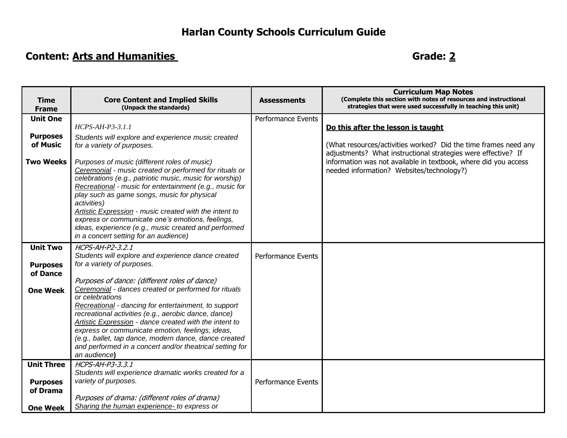## **Harlan County Schools Curriculum Guide**

## **Content:** Arts and Humanities **Content:** Arts and Humanities

| (Complete this section with notes of resources and instructional                                                                 |
|----------------------------------------------------------------------------------------------------------------------------------|
| strategies that were used successfully in teaching this unit)                                                                    |
|                                                                                                                                  |
|                                                                                                                                  |
|                                                                                                                                  |
| (What resources/activities worked? Did the time frames need any<br>adjustments? What instructional strategies were effective? If |
| information was not available in textbook, where did you access                                                                  |
|                                                                                                                                  |
|                                                                                                                                  |
|                                                                                                                                  |
|                                                                                                                                  |
|                                                                                                                                  |
|                                                                                                                                  |
|                                                                                                                                  |
|                                                                                                                                  |
|                                                                                                                                  |
|                                                                                                                                  |
|                                                                                                                                  |
|                                                                                                                                  |
|                                                                                                                                  |
|                                                                                                                                  |
|                                                                                                                                  |
|                                                                                                                                  |
|                                                                                                                                  |
|                                                                                                                                  |
|                                                                                                                                  |
|                                                                                                                                  |
|                                                                                                                                  |
|                                                                                                                                  |
|                                                                                                                                  |
|                                                                                                                                  |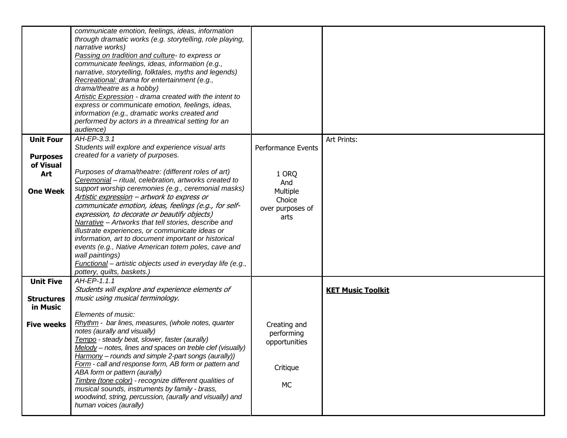|                   | communicate emotion, feelings, ideas, information<br>through dramatic works (e.g. storytelling, role playing,<br>narrative works)<br>Passing on tradition and culture- to express or<br>communicate feelings, ideas, information (e.g.,<br>narrative, storytelling, folktales, myths and legends)<br>Recreational: drama for entertainment (e.g.,<br>drama/theatre as a hobby)<br>Artistic Expression - drama created with the intent to<br>express or communicate emotion, feelings, ideas,<br>information (e.g., dramatic works created and<br>performed by actors in a threatrical setting for an<br>audience) |                          |                          |
|-------------------|-------------------------------------------------------------------------------------------------------------------------------------------------------------------------------------------------------------------------------------------------------------------------------------------------------------------------------------------------------------------------------------------------------------------------------------------------------------------------------------------------------------------------------------------------------------------------------------------------------------------|--------------------------|--------------------------|
| <b>Unit Four</b>  | AH-EP-3.3.1                                                                                                                                                                                                                                                                                                                                                                                                                                                                                                                                                                                                       |                          | Art Prints:              |
|                   | Students will explore and experience visual arts                                                                                                                                                                                                                                                                                                                                                                                                                                                                                                                                                                  | Performance Events       |                          |
| <b>Purposes</b>   | created for a variety of purposes.                                                                                                                                                                                                                                                                                                                                                                                                                                                                                                                                                                                |                          |                          |
| of Visual<br>Art  | Purposes of drama/theatre: (different roles of art)                                                                                                                                                                                                                                                                                                                                                                                                                                                                                                                                                               | 1 ORQ                    |                          |
|                   | Ceremonial - ritual, celebration, artworks created to                                                                                                                                                                                                                                                                                                                                                                                                                                                                                                                                                             | And                      |                          |
| <b>One Week</b>   | support worship ceremonies (e.g., ceremonial masks)                                                                                                                                                                                                                                                                                                                                                                                                                                                                                                                                                               | Multiple                 |                          |
|                   | Artistic expression - artwork to express or<br>communicate emotion, ideas, feelings (e.g., for self-                                                                                                                                                                                                                                                                                                                                                                                                                                                                                                              | Choice                   |                          |
|                   | expression, to decorate or beautify objects)                                                                                                                                                                                                                                                                                                                                                                                                                                                                                                                                                                      | over purposes of<br>arts |                          |
|                   | Narrative - Artworks that tell stories, describe and                                                                                                                                                                                                                                                                                                                                                                                                                                                                                                                                                              |                          |                          |
|                   | illustrate experiences, or communicate ideas or                                                                                                                                                                                                                                                                                                                                                                                                                                                                                                                                                                   |                          |                          |
|                   | information, art to document important or historical<br>events (e.g., Native American totem poles, cave and                                                                                                                                                                                                                                                                                                                                                                                                                                                                                                       |                          |                          |
|                   | wall paintings)                                                                                                                                                                                                                                                                                                                                                                                                                                                                                                                                                                                                   |                          |                          |
|                   | Functional - artistic objects used in everyday life (e.g.,                                                                                                                                                                                                                                                                                                                                                                                                                                                                                                                                                        |                          |                          |
|                   | pottery, quilts, baskets.)                                                                                                                                                                                                                                                                                                                                                                                                                                                                                                                                                                                        |                          |                          |
| <b>Unit Five</b>  | AH-EP-1.1.1                                                                                                                                                                                                                                                                                                                                                                                                                                                                                                                                                                                                       |                          |                          |
| <b>Structures</b> | Students will explore and experience elements of<br>music using musical terminology.                                                                                                                                                                                                                                                                                                                                                                                                                                                                                                                              |                          | <b>KET Music Toolkit</b> |
| in Music          |                                                                                                                                                                                                                                                                                                                                                                                                                                                                                                                                                                                                                   |                          |                          |
|                   | Elements of music:                                                                                                                                                                                                                                                                                                                                                                                                                                                                                                                                                                                                |                          |                          |
| <b>Five weeks</b> | Rhythm - bar lines, measures, (whole notes, quarter<br>notes (aurally and visually)                                                                                                                                                                                                                                                                                                                                                                                                                                                                                                                               | Creating and             |                          |
|                   | Tempo - steady beat, slower, faster (aurally)                                                                                                                                                                                                                                                                                                                                                                                                                                                                                                                                                                     | performing               |                          |
|                   | Melody - notes, lines and spaces on treble clef (visually)                                                                                                                                                                                                                                                                                                                                                                                                                                                                                                                                                        | opportunities            |                          |
|                   | Harmony – rounds and simple 2-part songs (aurally))                                                                                                                                                                                                                                                                                                                                                                                                                                                                                                                                                               |                          |                          |
|                   | Form - call and response form, AB form or pattern and<br>ABA form or pattern (aurally)                                                                                                                                                                                                                                                                                                                                                                                                                                                                                                                            | Critique                 |                          |
|                   | Timbre (tone color) - recognize different qualities of                                                                                                                                                                                                                                                                                                                                                                                                                                                                                                                                                            |                          |                          |
|                   | musical sounds, instruments by family - brass,                                                                                                                                                                                                                                                                                                                                                                                                                                                                                                                                                                    | МC                       |                          |
|                   | woodwind, string, percussion, (aurally and visually) and                                                                                                                                                                                                                                                                                                                                                                                                                                                                                                                                                          |                          |                          |
|                   | human voices (aurally)                                                                                                                                                                                                                                                                                                                                                                                                                                                                                                                                                                                            |                          |                          |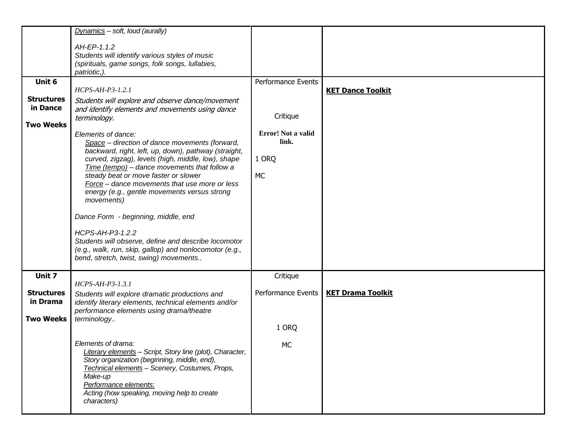|                               | Dynamics - soft, loud (aurally)                                                                                                                                                                                                                                                                                                                                                                                                                                                                                                                                                                                   |                                                   |                          |
|-------------------------------|-------------------------------------------------------------------------------------------------------------------------------------------------------------------------------------------------------------------------------------------------------------------------------------------------------------------------------------------------------------------------------------------------------------------------------------------------------------------------------------------------------------------------------------------------------------------------------------------------------------------|---------------------------------------------------|--------------------------|
|                               | AH-EP-1.1.2<br>Students will identify various styles of music                                                                                                                                                                                                                                                                                                                                                                                                                                                                                                                                                     |                                                   |                          |
|                               | (spirituals, game songs, folk songs, lullabies,<br>patriotic,).                                                                                                                                                                                                                                                                                                                                                                                                                                                                                                                                                   |                                                   |                          |
| Unit 6                        | HCPS-AH-P3-1.2.1                                                                                                                                                                                                                                                                                                                                                                                                                                                                                                                                                                                                  | Performance Events                                | <b>KET Dance Toolkit</b> |
| <b>Structures</b><br>in Dance | Students will explore and observe dance/movement<br>and identify elements and movements using dance<br>terminology.                                                                                                                                                                                                                                                                                                                                                                                                                                                                                               | Critique                                          |                          |
| <b>Two Weeks</b>              | Elements of dance:<br>Space - direction of dance movements (forward,<br>backward, right, left, up, down), pathway (straight,<br>curved, zigzag), levels (high, middle, low), shape<br>Time (tempo) - dance movements that follow a<br>steady beat or move faster or slower<br>Force - dance movements that use more or less<br>energy (e.g., gentle movements versus strong<br>movements)<br>Dance Form - beginning, middle, end<br>HCPS-AH-P3-1.2.2<br>Students will observe, define and describe locomotor<br>(e.g., walk, run, skip, gallop) and nonlocomotor (e.g.,<br>bend, stretch, twist, swing) movements | Error! Not a valid<br>link.<br>1 ORQ<br><b>MC</b> |                          |
| Unit 7                        | $HCPS-AH-P3-1.3.1$                                                                                                                                                                                                                                                                                                                                                                                                                                                                                                                                                                                                | Critique                                          |                          |
| <b>Structures</b><br>in Drama | Students will explore dramatic productions and<br>identify literary elements, technical elements and/or                                                                                                                                                                                                                                                                                                                                                                                                                                                                                                           | Performance Events                                | <b>KET Drama Toolkit</b> |
| <b>Two Weeks</b>              | performance elements using drama/theatre<br>terminology                                                                                                                                                                                                                                                                                                                                                                                                                                                                                                                                                           | 1 ORQ                                             |                          |
|                               | Elements of drama:<br>Literary elements - Script, Story line (plot), Character,<br>Story organization (beginning, middle, end),<br>Technical elements - Scenery, Costumes, Props,<br>Make-up<br>Performance elements:<br>Acting (how speaking, moving help to create<br>characters)                                                                                                                                                                                                                                                                                                                               | МC                                                |                          |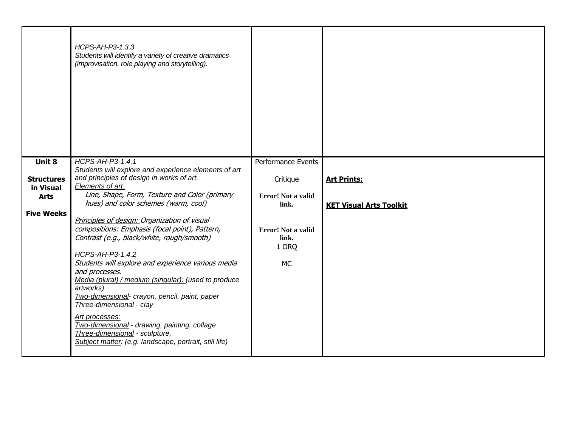|                                | HCPS-AH-P3-1.3.3<br>Students will identify a variety of creative dramatics<br>(improvisation, role playing and storytelling).                                                                                                                                                                                                                                                                                                                                                                            |                                                   |                                |
|--------------------------------|----------------------------------------------------------------------------------------------------------------------------------------------------------------------------------------------------------------------------------------------------------------------------------------------------------------------------------------------------------------------------------------------------------------------------------------------------------------------------------------------------------|---------------------------------------------------|--------------------------------|
| Unit 8                         | HCPS-AH-P3-1.4.1<br>Students will explore and experience elements of art                                                                                                                                                                                                                                                                                                                                                                                                                                 | Performance Events                                |                                |
| <b>Structures</b><br>in Visual | and principles of design in works of art.<br>Elements of art:                                                                                                                                                                                                                                                                                                                                                                                                                                            | Critique                                          | <b>Art Prints:</b>             |
| <b>Arts</b>                    | Line, Shape, Form, Texture and Color (primary<br>hues) and color schemes (warm, cool)                                                                                                                                                                                                                                                                                                                                                                                                                    | Error! Not a valid<br>link.                       | <b>KET Visual Arts Toolkit</b> |
| <b>Five Weeks</b>              | Principles of design: Organization of visual                                                                                                                                                                                                                                                                                                                                                                                                                                                             |                                                   |                                |
|                                | compositions: Emphasis (focal point), Pattern,<br>Contrast (e.g., black/white, rough/smooth)<br>HCPS-AH-P3-1.4.2<br>Students will explore and experience various media<br>and processes.<br>Media (plural) / medium (singular): (used to produce<br>artworks)<br>Two-dimensional- crayon, pencil, paint, paper<br>Three-dimensional - clay<br>Art processes:<br>Two-dimensional - drawing, painting, collage<br>Three-dimensional - sculpture,<br>Subject matter: (e.g. landscape, portrait, still life) | Error! Not a valid<br>link.<br>1 ORQ<br><b>MC</b> |                                |